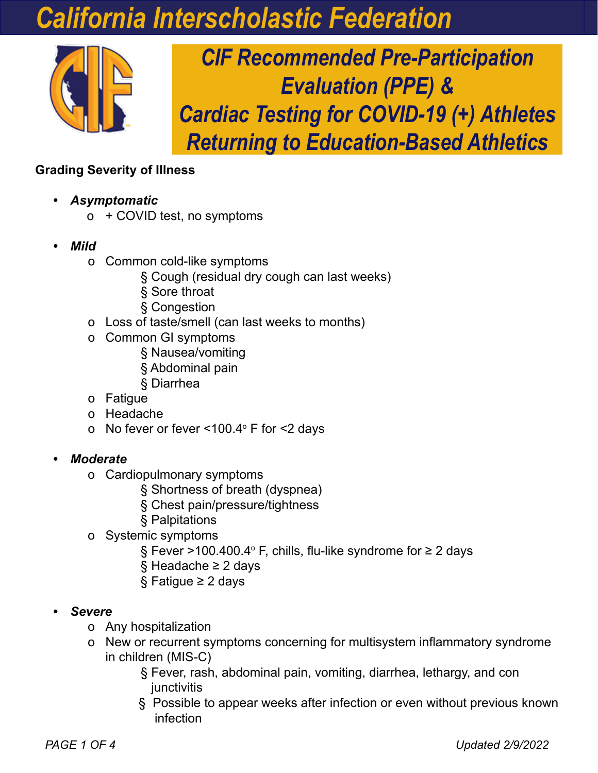# *California Interscholastic Federation*



*CIF Recommended Pre-Participation Evaluation (PPE) & Cardiac Testing for COVID-19 (+) Athletes Returning to Education-Based Athletics*

### **Grading Severity of Illness**

- *• Asymptomatic*
	- o + COVID test, no symptoms
- *• Mild*
	- o Common cold-like symptoms
		- § Cough (residual dry cough can last weeks)
		- § Sore throat
		- § Congestion
	- o Loss of taste/smell (can last weeks to months)
	- o Common GI symptoms
		- § Nausea/vomiting
		- § Abdominal pain
		- § Diarrhea
	- o Fatigue
	- o Headache
	- o  $\,$  No fever or fever <100.4 $^{\circ}$  F for <2 days

### *• Moderate*

- o Cardiopulmonary symptoms
	- § Shortness of breath (dyspnea)
	- § Chest pain/pressure/tightness
	- § Palpitations
- o Systemic symptoms
- § Fever >100.400.4º F, chills, flu-like syndrome for ≥ 2 days
	- § Headache ≥ 2 days
	- § Fatigue ≥ 2 days
- *• Severe*
	- o Any hospitalization
	- o New or recurrent symptoms concerning for multisystem inflammatory syndrome in children (MIS-C)
		- § Fever, rash, abdominal pain, vomiting, diarrhea, lethargy, and con iunctivitis
		- § Possible to appear weeks after infection or even without previous known infection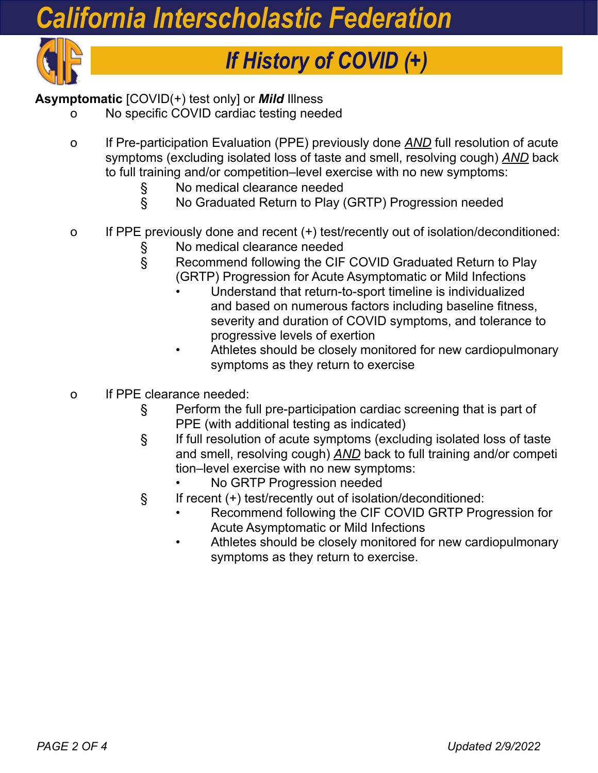# *California Interscholastic Federation*



# *If History of COVID (+)*

## **Asymptomatic** [COVID(+) test only] or *Mild* Illness

- No specific COVID cardiac testing needed
- o If Pre-participation Evaluation (PPE) previously done *AND* full resolution of acute symptoms (excluding isolated loss of taste and smell, resolving cough) *AND* back to full training and/or competition–level exercise with no new symptoms:
	- § No medical clearance needed
	- § No Graduated Return to Play (GRTP) Progression needed
- o If PPE previously done and recent (+) test/recently out of isolation/deconditioned:
	-
	- § No medical clearance needed<br>§ Recommend following the CIF Recommend following the CIF COVID Graduated Return to Play (GRTP) Progression for Acute Asymptomatic or Mild Infections
		- Understand that return-to-sport timeline is individualized and based on numerous factors including baseline fitness, severity and duration of COVID symptoms, and tolerance to progressive levels of exertion
		- Athletes should be closely monitored for new cardiopulmonary symptoms as they return to exercise
- o If PPE clearance needed:
	- § Perform the full pre-participation cardiac screening that is part of PPE (with additional testing as indicated)
	- § If full resolution of acute symptoms (excluding isolated loss of taste and smell, resolving cough) *AND* back to full training and/or competi tion–level exercise with no new symptoms:
		- No GRTP Progression needed
	- § If recent (+) test/recently out of isolation/deconditioned:
		- Recommend following the CIF COVID GRTP Progression for Acute Asymptomatic or Mild Infections
		- Athletes should be closely monitored for new cardiopulmonary symptoms as they return to exercise.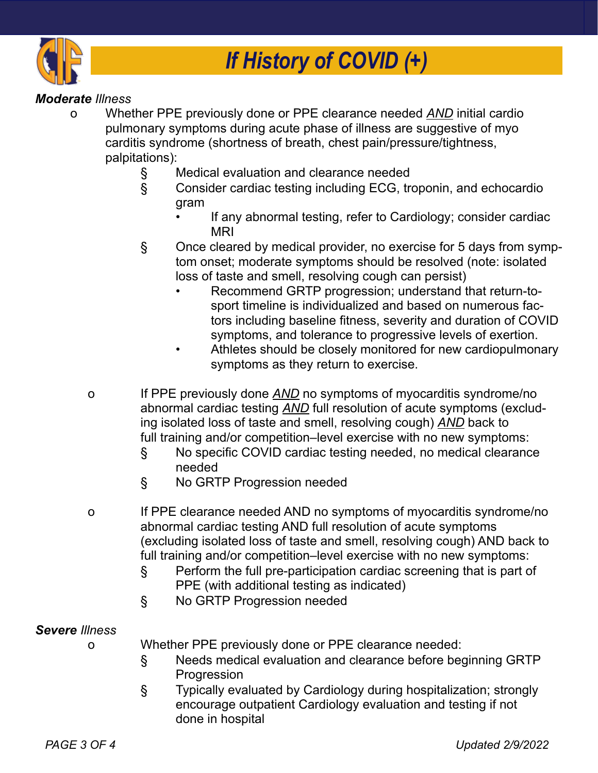

#### *Moderate Illness*

- o Whether PPE previously done or PPE clearance needed *AND* initial cardio pulmonary symptoms during acute phase of illness are suggestive of myo carditis syndrome (shortness of breath, chest pain/pressure/tightness, palpitations):
	- § Medical evaluation and clearance needed
	- § Consider cardiac testing including ECG, troponin, and echocardio gram
		- If any abnormal testing, refer to Cardiology; consider cardiac MRI
	- § Once cleared by medical provider, no exercise for 5 days from symp tom onset; moderate symptoms should be resolved (note: isolated loss of taste and smell, resolving cough can persist)
		- Recommend GRTP progression; understand that return-to sport timeline is individualized and based on numerous factors including baseline fitness, severity and duration of COVID symptoms, and tolerance to progressive levels of exertion.
		- Athletes should be closely monitored for new cardiopulmonary symptoms as they return to exercise.
	- o If PPE previously done *AND* no symptoms of myocarditis syndrome/no abnormal cardiac testing *AND* full resolution of acute symptoms (exclud ing isolated loss of taste and smell, resolving cough) *AND* back to full training and/or competition–level exercise with no new symptoms:
		- § No specific COVID cardiac testing needed, no medical clearance needed
		- § No GRTP Progression needed
	- o If PPE clearance needed AND no symptoms of myocarditis syndrome/no abnormal cardiac testing AND full resolution of acute symptoms (excluding isolated loss of taste and smell, resolving cough) AND back to full training and/or competition–level exercise with no new symptoms:
		- § Perform the full pre-participation cardiac screening that is part of PPE (with additional testing as indicated)
		- § No GRTP Progression needed

#### *Severe Illness*

- o Whether PPE previously done or PPE clearance needed:
	- § Needs medical evaluation and clearance before beginning GRTP Progression
	- § Typically evaluated by Cardiology during hospitalization; strongly encourage outpatient Cardiology evaluation and testing if not done in hospital